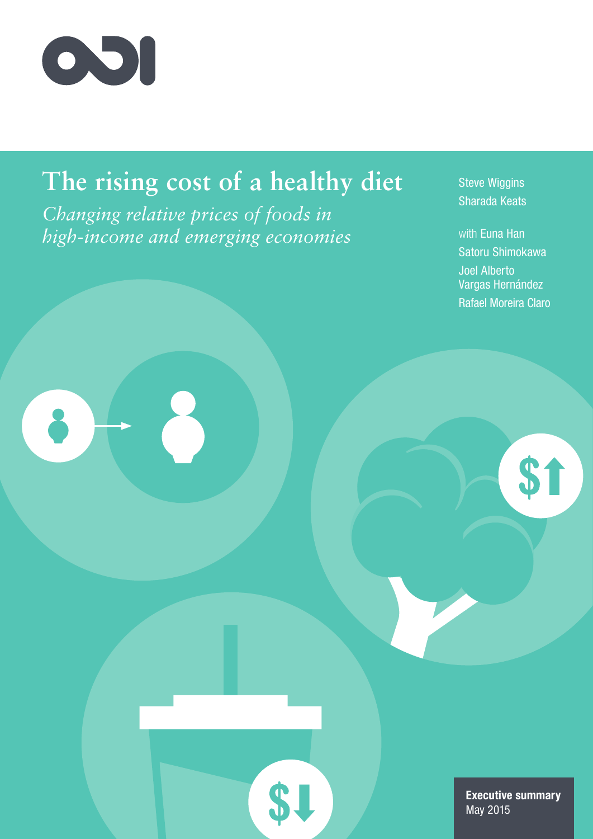

# **The rising cost of a healthy diet**

\$.

*Changing relative prices of foods in high-income and emerging economies* Steve Wiggins Sharada Keats

with Euna Han Satoru Shimokawa Joel Alberto Vargas Hernández Rafael Moreira Claro

\$1

Executive summary May 2015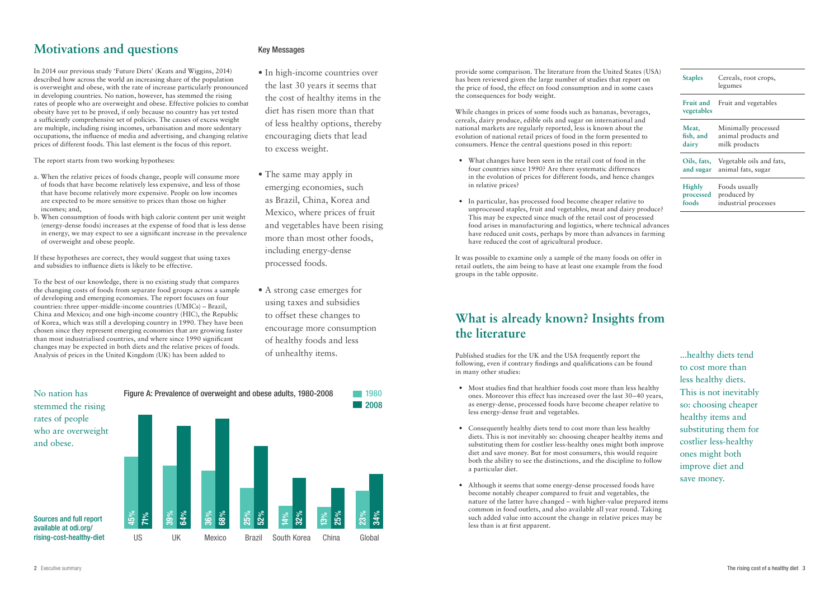## **Motivations and questions**

In 2014 our previous study 'Future Diets' (Keats and Wiggins, 2014) described how across the world an increasing share of the population is overweight and obese, with the rate of increase particularly pronounced in developing countries. No nation, however, has stemmed the rising rates of people who are overweight and obese. Effective policies to combat obesity have yet to be proved, if only because no country has yet tested a sufficiently comprehensive set of policies. The causes of excess weight are multiple, including rising incomes, urbanisation and more sedentary occupations, the influence of media and advertising, and changing relative prices of different foods. This last element is the focus of this report.

The report starts from two working hypotheses:

- a. When the relative prices of foods change, people will consume more of foods that have become relatively less expensive, and less of those that have become relatively more expensive. People on low incomes are expected to be more sensitive to prices than those on higher incomes; and,
- b. When consumption of foods with high calorie content per unit weight (energy-dense foods) increases at the expense of food that is less dense in energy, we may expect to see a significant increase in the prevalence of overweight and obese people.
- In high-income countries over the last 30 years it seems that the cost of healthy items in the diet has risen more than that of less healthy options, thereby encouraging diets that lead to excess weight.
- The same may apply in emerging economies, such as Brazil, China, Korea and Mexico, where prices of fruit and vegetables have been rising more than most other foods, including energy-dense processed foods.
- A strong case emerges for using taxes and subsidies to offset these changes to encourage more consumption of healthy foods and less of unhealthy items.

If these hypotheses are correct, they would suggest that using taxes and subsidies to influence diets is likely to be effective.

To the best of our knowledge, there is no existing study that compares the changing costs of foods from separate food groups across a sample of developing and emerging economies. The report focuses on four countries: three upper-middle-income countries (UMICs) – Brazil, China and Mexico; and one high-income country (HIC), the Republic of Korea, which was still a developing country in 1990. They have been chosen since they represent emerging economies that are growing faster than most industrialised countries, and where since 1990 significant changes may be expected in both diets and the relative prices of foods. Analysis of prices in the United Kingdom (UK) has been added to

### Key Messages

provide some comparison. The literature from the United States (USA) has been reviewed given the large number of studies that report on the price of food, the effect on food consumption and in some cases the consequences for body weight. While changes in prices of some foods such as bananas, beverages, cereals, dairy produce, edible oils and sugar on international and

national markets are regularly reported, less is known about the evolution of national retail prices of food in the form presented to consumers. Hence the central questions posed in this report:

- What changes have been seen in the retail cost of food in the four countries since 1990? Are there systematic differences in the evolution of prices for different foods, and hence changes in relative prices?
- In particular, has processed food become cheaper relative to unprocessed staples, fruit and vegetables, meat and dairy produce? This may be expected since much of the retail cost of processed food arises in manufacturing and logistics, where technical advances have reduced unit costs, perhaps by more than advances in farming have reduced the cost of agricultural produce.

It was possible to examine only a sample of the many foods on offer in retail outlets, the aim being to have at least one example from the food groups in the table opposite.

## **What is already known? Insights from the literature**

Published studies for the UK and the USA frequently report the following, even if contrary findings and qualifications can be found in many other studies:



- Most studies find that healthier foods cost more than less healthy ones. Moreover this effect has increased over the last 30–40 years, as energy-dense, processed foods have become cheaper relative to less energy-dense fruit and vegetables.
- Consequently healthy diets tend to cost more than less healthy diets. This is not inevitably so: choosing cheaper healthy items and substituting them for costlier less-healthy ones might both improve diet and save money. But for most consumers, this would require both the ability to see the distinctions, and the discipline to follow a particular diet.
- Although it seems that some energy-dense processed foods have become notably cheaper compared to fruit and vegetables, the nature of the latter have changed – with higher-value prepared items common in food outlets, and also available all year round. Taking such added value into account the change in relative prices may be less than is at first apparent.

| <b>Staples</b>                 | Cereals, root crops,<br>legumes |
|--------------------------------|---------------------------------|
| <b>Fruit and</b><br>vegetables | Fruit and vegetables            |
| Meat,                          | Minimally processed             |
| fish, and                      | animal products and             |
| dairy                          | milk products                   |
| Oils, fats,                    | Vegetable oils and fats,        |
| and sugar                      | animal fats, sugar              |
| <b>Highly</b>                  | Foods usually                   |
| processed                      | produced by                     |
| foods                          | industrial processes            |

...healthy diets tend to cost more than less healthy diets. This is not inevitably so: choosing cheaper healthy items and substituting them for costlier less-healthy ones might both improve diet and save money.

### available at odi.org/ rising-cost-healthy-diet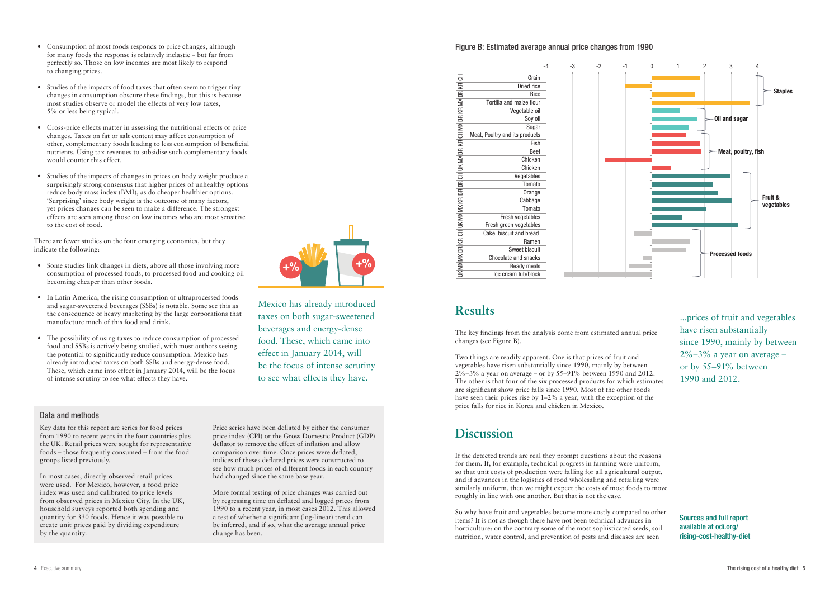- Consumption of most foods responds to price changes, although for many foods the response is relatively inelastic – but far from perfectly so. Those on low incomes are most likely to respond to changing prices.
- Studies of the impacts of food taxes that often seem to trigger tiny changes in consumption obscure these findings, but this is because most studies observe or model the effects of very low taxes, 5% or less being typical.
- Cross-price effects matter in assessing the nutritional effects of price changes. Taxes on fat or salt content may affect consumption of other, complementary foods leading to less consumption of beneficial nutrients. Using tax revenues to subsidise such complementary foods would counter this effect.
- Studies of the impacts of changes in prices on body weight produce a surprisingly strong consensus that higher prices of unhealthy options reduce body mass index (BMI), as do cheaper healthier options. 'Surprising' since body weight is the outcome of many factors, yet prices changes can be seen to make a difference. The strongest effects are seen among those on low incomes who are most sensitive to the cost of food.

There are fewer studies on the four emerging economies, but they indicate the following:

- Some studies link changes in diets, above all those involving more consumption of processed foods, to processed food and cooking oil becoming cheaper than other foods.
- In Latin America, the rising consumption of ultraprocessed foods and sugar-sweetened beverages (SSBs) is notable. Some see this as the consequence of heavy marketing by the large corporations that manufacture much of this food and drink.
- The possibility of using taxes to reduce consumption of processed food and SSBs is actively being studied, with most authors seeing the potential to significantly reduce consumption. Mexico has already introduced taxes on both SSBs and energy-dense food. These, which came into effect in January 2014, will be the focus of intense scrutiny to see what effects they have.

## **Results**

The key findings from the analysis come from estimated annual price changes (see Figure B).

Two things are readily apparent. One is that prices of fruit and vegetables have risen substantially since 1990, mainly by between 2%–3% a year on average – or by 55–91% between 1990 and 2012. The other is that four of the six processed products for which estimates are significant show price falls since 1990. Most of the other foods have seen their prices rise by 1–2% a year, with the exception of the price falls for rice in Korea and chicken in Mexico.

## **Discussion**

If the detected trends are real they prompt questions about the reasons for them. If, for example, technical progress in farming were uniform, so that unit costs of production were falling for all agricultural output, and if advances in the logistics of food wholesaling and retailing were similarly uniform, then we might expect the costs of most foods to move roughly in line with one another. But that is not the case.

So why have fruit and vegetables become more costly compared to other items? It is not as though there have not been technical advances in horticulture: on the contrary some of the most sophisticated seeds, soil nutrition, water control, and prevention of pests and diseases are seen



Mexico has already introduced taxes on both sugar-sweetened beverages and energy-dense food. These, which came into effect in January 2014, will

be the focus of intense scrutiny to see what effects they have.

Data and methods

Key data for this report are series for food prices from 1990 to recent years in the four countries plus the UK. Retail prices were sought for representative foods – those frequently consumed – from the food groups listed previously.

In most cases, directly observed retail prices were used. For Mexico, however, a food price index was used and calibrated to price levels from observed prices in Mexico City. In the UK, household surveys reported both spending and quantity for 330 foods. Hence it was possible to create unit prices paid by dividing expenditure by the quantity.

Price series have been deflated by either the consumer price index (CPI) or the Gross Domestic Product (GDP) deflator to remove the effect of inflation and allow comparison over time. Once prices were deflated, indices of theses deflated prices were constructed to see how much prices of different foods in each country had changed since the same base year.

More formal testing of price changes was carried out by regressing time on deflated and logged prices from 1990 to a recent year, in most cases 2012. This allowed a test of whether a significant (log-linear) trend can be inferred, and if so, what the average annual price change has been.

### Figure B: Estimated average annual price changes from 1990

**Grain** Dried rice Rice Tortilla and maize flour Vegetable oil Soy oil **Sugar** Meat, Poultry and its products Fish Beef **Chicken** Chicken **Vegetables** Tomato **Orange Cabbage** Tomato Fresh vegetables Fresh green vegetables Cake, biscuit and bread Ramen Sweet biscuit Chocolate and snacks Ready meals Ice cream tub/block 공 KR BR MX KR BR MX 공 KR BR MX  $\breve{\equiv}$ 공 BR BR KR MX MX  $\breve{\equiv}$ 공 KR BR MX MX  $\overline{\mathbb{1}}$ 



...prices of fruit and vegetables have risen substantially since 1990, mainly by between  $2\% - 3\%$  a year on average – or by 55–91% between 1990 and 2012.

Sources and full report available at odi.org/ rising-cost-healthy-diet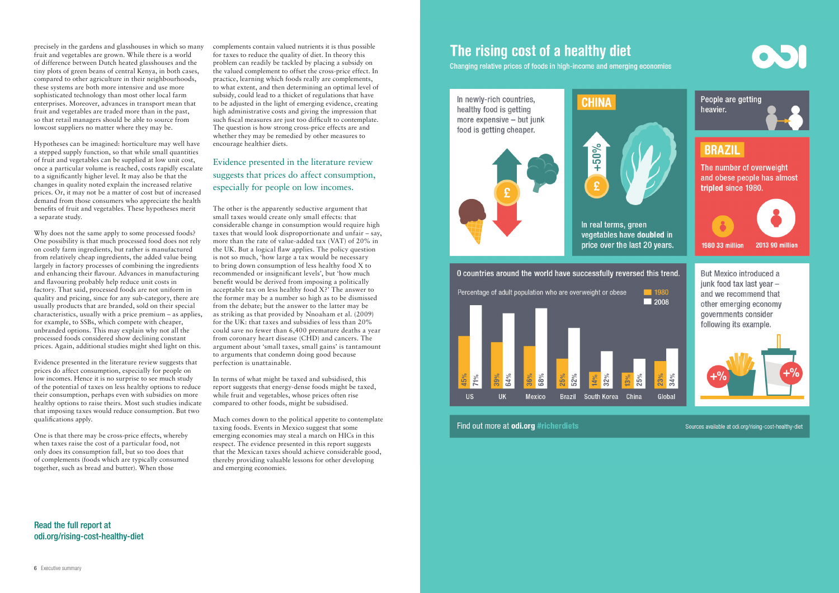precisely in the gardens and glasshouses in which so many fruit and vegetables are grown. While there is a world of difference between Dutch heated glasshouses and the tiny plots of green beans of central Kenya, in both cases, compared to other agriculture in their neighbourhoods, these systems are both more intensive and use more sophisticated technology than most other local farm enterprises. Moreover, advances in transport mean that fruit and vegetables are traded more than in the past, so that retail managers should be able to source from lowcost suppliers no matter where they may be.

Hypotheses can be imagined: horticulture may well have a stepped supply function, so that while small quantities of fruit and vegetables can be supplied at low unit cost, once a particular volume is reached, costs rapidly escalate to a significantly higher level. It may also be that the changes in quality noted explain the increased relative prices. Or, it may not be a matter of cost but of increased demand from those consumers who appreciate the health benefits of fruit and vegetables. These hypotheses merit a separate study.

Why does not the same apply to some processed foods? One possibility is that much processed food does not rely on costly farm ingredients, but rather is manufactured from relatively cheap ingredients, the added value being largely in factory processes of combining the ingredients and enhancing their flavour. Advances in manufacturing and flavouring probably help reduce unit costs in factory. That said, processed foods are not uniform in quality and pricing, since for any sub-category, there are usually products that are branded, sold on their special characteristics, usually with a price premium – as applies, for example, to SSBs, which compete with cheaper, unbranded options. This may explain why not all the processed foods considered show declining constant prices. Again, additional studies might shed light on this.

Evidence presented in the literature review suggests that prices do affect consumption, especially for people on low incomes. Hence it is no surprise to see much study of the potential of taxes on less healthy options to reduce their consumption, perhaps even with subsidies on more healthy options to raise theirs. Most such studies indicate that imposing taxes would reduce consumption. But two qualifications apply.

One is that there may be cross-price effects, whereby when taxes raise the cost of a particular food, not only does its consumption fall, but so too does that of complements (foods which are typically consumed together, such as bread and butter). When those

complements contain valued nutrients it is thus possible for taxes to reduce the quality of diet. In theory this problem can readily be tackled by placing a subsidy on the valued complement to offset the cross-price effect. In practice, learning which foods really are complements, to what extent, and then determining an optimal level of subsidy, could lead to a thicket of regulations that have to be adjusted in the light of emerging evidence, creating high administrative costs and giving the impression that such fiscal measures are just too difficult to contemplate. The question is how strong cross-price effects are and whether they may be remedied by other measures to encourage healthier diets.

The other is the apparently seductive argument that small taxes would create only small effects: that considerable change in consumption would require high taxes that would look disproportionate and unfair – say, more than the rate of value-added tax (VAT) of 20% in the UK. But a logical flaw applies. The policy question is not so much, 'how large a tax would be necessary to bring down consumption of less healthy food X to recommended or insignificant levels', but 'how much benefit would be derived from imposing a politically acceptable tax on less healthy food X?' The answer to the former may be a number so high as to be dismissed from the debate; but the answer to the latter may be as striking as that provided by Nnoaham et al. (2009) for the UK: that taxes and subsidies of less than  $20\%$ could save no fewer than 6,400 premature deaths a year from coronary heart disease (CHD) and cancers. The argument about 'small taxes, small gains' is tantamount to arguments that condemn doing good because perfection is unattainable.

In terms of what might be taxed and subsidised, this report suggests that energy-dense foods might be taxed, while fruit and vegetables, whose prices often rise compared to other foods, might be subsidised.

Much comes down to the political appetite to contemplate taxing foods. Events in Mexico suggest that some emerging economies may steal a march on HICs in this respect. The evidence presented in this report suggests that the Mexican taxes should achieve considerable good, thereby providing valuable lessons for other developing and emerging economies.

# The rising cost of a healthy diet

Changing relative prices of foods in high-income and emerging economies





Find out more at odi.org #richerdiets

Read the full report at odi.org/rising-cost-healthy-diet



Sources available at odi.org/rising-cost-healthy-diet

### Evidence presented in the literature review suggests that prices do affect consumption, especially for people on low incomes.